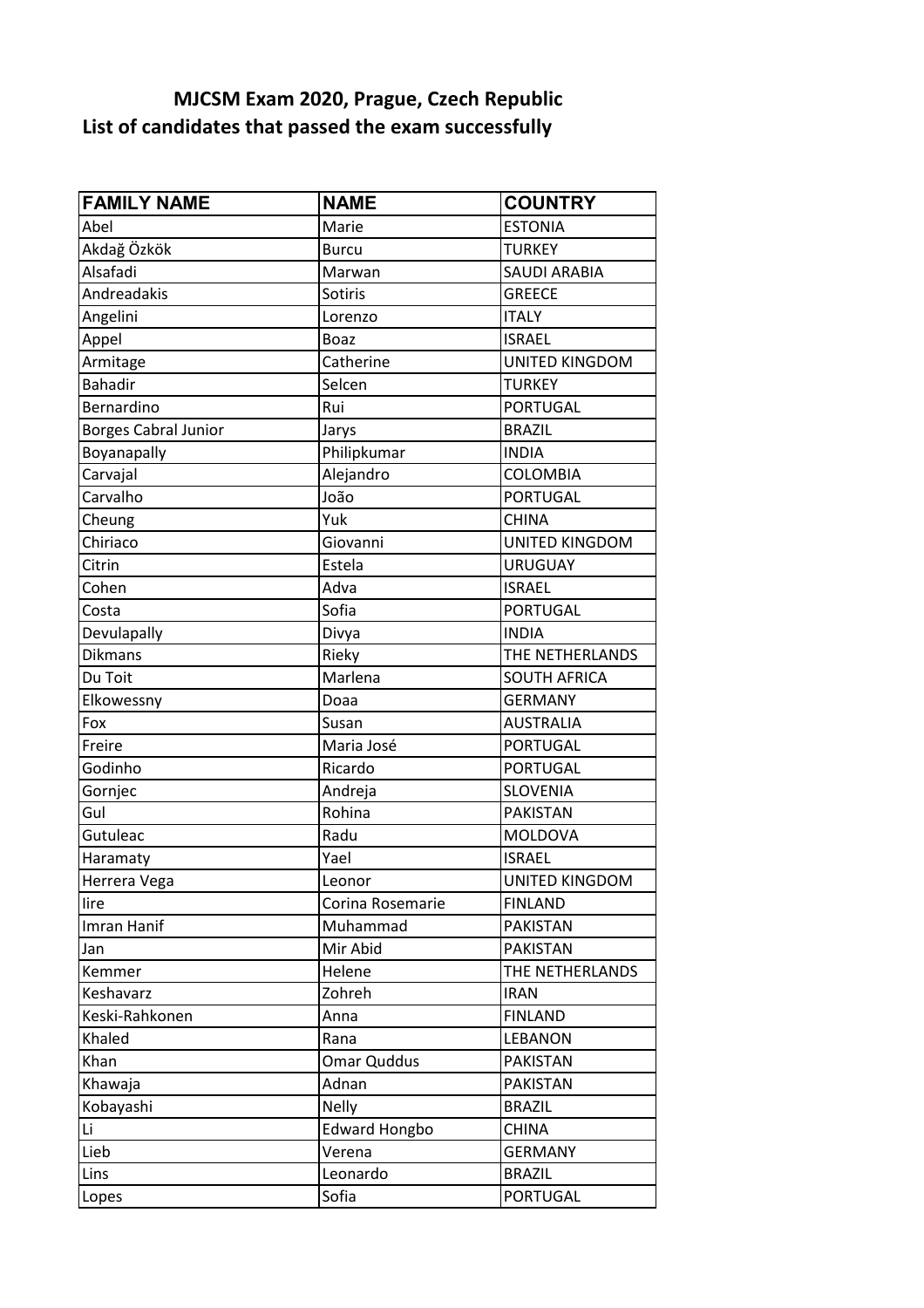## **List of candidates that passed the exam successfully MJCSM Exam 2020, Prague, Czech Republic**

| <b>FAMILY NAME</b>          | <b>NAME</b>          | <b>COUNTRY</b>        |
|-----------------------------|----------------------|-----------------------|
| Abel                        | Marie                | <b>ESTONIA</b>        |
| Akdağ Özkök                 | <b>Burcu</b>         | <b>TURKEY</b>         |
| Alsafadi                    | Marwan               | <b>SAUDI ARABIA</b>   |
| Andreadakis                 | Sotiris              | <b>GREECE</b>         |
| Angelini                    | Lorenzo              | <b>ITALY</b>          |
| Appel                       | <b>Boaz</b>          | <b>ISRAEL</b>         |
| Armitage                    | Catherine            | <b>UNITED KINGDOM</b> |
| <b>Bahadir</b>              | Selcen               | <b>TURKEY</b>         |
| Bernardino                  | Rui                  | <b>PORTUGAL</b>       |
| <b>Borges Cabral Junior</b> | Jarys                | <b>BRAZIL</b>         |
| Boyanapally                 | Philipkumar          | <b>INDIA</b>          |
| Carvajal                    | Alejandro            | <b>COLOMBIA</b>       |
| Carvalho                    | João                 | <b>PORTUGAL</b>       |
| Cheung                      | Yuk                  | <b>CHINA</b>          |
| Chiriaco                    | Giovanni             | <b>UNITED KINGDOM</b> |
| Citrin                      | Estela               | <b>URUGUAY</b>        |
| Cohen                       | Adva                 | <b>ISRAEL</b>         |
| Costa                       | Sofia                | <b>PORTUGAL</b>       |
| Devulapally                 | Divya                | <b>INDIA</b>          |
| <b>Dikmans</b>              | Rieky                | THE NETHERLANDS       |
| Du Toit                     | Marlena              | <b>SOUTH AFRICA</b>   |
| Elkowessny                  | Doaa                 | <b>GERMANY</b>        |
| Fox                         | Susan                | <b>AUSTRALIA</b>      |
| Freire                      | Maria José           | <b>PORTUGAL</b>       |
| Godinho                     | Ricardo              | <b>PORTUGAL</b>       |
| Gornjec                     | Andreja              | <b>SLOVENIA</b>       |
| Gul                         | Rohina               | <b>PAKISTAN</b>       |
| Gutuleac                    | Radu                 | <b>MOLDOVA</b>        |
| Haramaty                    | Yael                 | <b>ISRAEL</b>         |
| Herrera Vega                | Leonor               | <b>UNITED KINGDOM</b> |
| lire                        | Corina Rosemarie     | <b>FINLAND</b>        |
| Imran Hanif                 | Muhammad             | <b>PAKISTAN</b>       |
| Jan                         | Mir Abid             | <b>PAKISTAN</b>       |
| Kemmer                      | Helene               | THE NETHERLANDS       |
| Keshavarz                   | Zohreh               | <b>IRAN</b>           |
| Keski-Rahkonen              | Anna                 | <b>FINLAND</b>        |
| Khaled                      | Rana                 | <b>LEBANON</b>        |
| Khan                        | Omar Quddus          | <b>PAKISTAN</b>       |
| Khawaja                     | Adnan                | <b>PAKISTAN</b>       |
| Kobayashi                   | <b>Nelly</b>         | <b>BRAZIL</b>         |
| Li                          | <b>Edward Hongbo</b> | <b>CHINA</b>          |
| Lieb                        | Verena               | <b>GERMANY</b>        |
| Lins                        | Leonardo             | <b>BRAZIL</b>         |
| Lopes                       | Sofia                | <b>PORTUGAL</b>       |